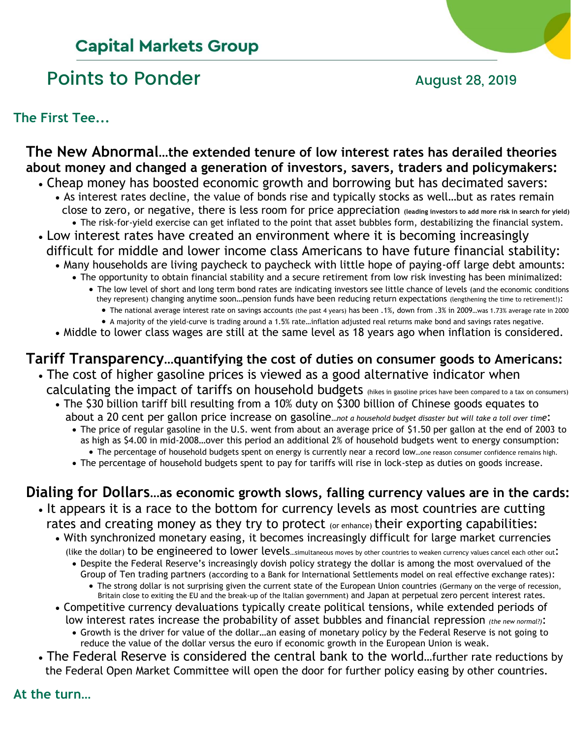# **Capital Markets Group**

# Points to Ponder and August 28, 2019

**The First Tee...**

## **The New Abnormal…the extended tenure of low interest rates has derailed theories about money and changed a generation of investors, savers, traders and policymakers:**

- Cheap money has boosted economic growth and borrowing but has decimated savers: • As interest rates decline, the value of bonds rise and typically stocks as well…but as rates remain close to zero, or negative, there is less room for price appreciation **(leading investors to add more risk in search for yield)** • The risk-for-yield exercise can get inflated to the point that asset bubbles form, destabilizing the financial system.
- Low interest rates have created an environment where it is becoming increasingly difficult for middle and lower income class Americans to have future financial stability:
	- Many households are living paycheck to paycheck with little hope of paying-off large debt amounts:
		- The opportunity to obtain financial stability and a secure retirement from low risk investing has been minimalized:
			- The low level of short and long term bond rates are indicating investors see little chance of levels (and the economic conditions they represent) changing anytime soon…pension funds have been reducing return expectations (lengthening the time to retirement!):
				- The national average interest rate on savings accounts (the past 4 years) has been .1%, down from .3% in 2009 ... was 1.73% average rate in 2000
			- A majority of the yield-curve is trading around a 1.5% rate…inflation adjusted real returns make bond and savings rates negative.
	- Middle to lower class wages are still at the same level as 18 years ago when inflation is considered.

# **Tariff Transparency…quantifying the cost of duties on consumer goods to Americans:**

- The cost of higher gasoline prices is viewed as a good alternative indicator when calculating the impact of tariffs on household budgets (hikes in gasoline prices have been compared to a tax on consumers)
	- The \$30 billion tariff bill resulting from a 10% duty on \$300 billion of Chinese goods equates to about a 20 cent per gallon price increase on gasoline*…not a household budget disaster but will take a toll over time*:
		- The price of regular gasoline in the U.S. went from about an average price of \$1.50 per gallon at the end of 2003 to as high as \$4.00 in mid-2008…over this period an additional 2% of household budgets went to energy consumption: • The percentage of household budgets spent on energy is currently near a record low…one reason consumer confidence remains high.
		- The percentage of household budgets spent to pay for tariffs will rise in lock-step as duties on goods increase.

# **Dialing for Dollars…as economic growth slows, falling currency values are in the cards:**

- It appears it is a race to the bottom for currency levels as most countries are cutting rates and creating money as they try to protect (or enhance) their exporting capabilities:
	- With synchronized monetary easing, it becomes increasingly difficult for large market currencies (like the dollar) to be engineered to lower levels...simultaneous moves by other countries to weaken currency values cancel each other out:
		- Despite the Federal Reserve's increasingly dovish policy strategy the dollar is among the most overvalued of the Group of Ten trading partners (according to a Bank for International Settlements model on real effective exchange rates):
			- The strong dollar is not surprising given the current state of the European Union countries (Germany on the verge of recession, Britain close to exiting the EU and the break-up of the Italian government) and Japan at perpetual zero percent interest rates.
	- Competitive currency devaluations typically create political tensions, while extended periods of low interest rates increase the probability of asset bubbles and financial repression *(the new normal?)*:
		- Growth is the driver for value of the dollar…an easing of monetary policy by the Federal Reserve is not going to reduce the value of the dollar versus the euro if economic growth in the European Union is weak.
- The Federal Reserve is considered the central bank to the world…further rate reductions by the Federal Open Market Committee will open the door for further policy easing by other countries.

## **At the turn…**